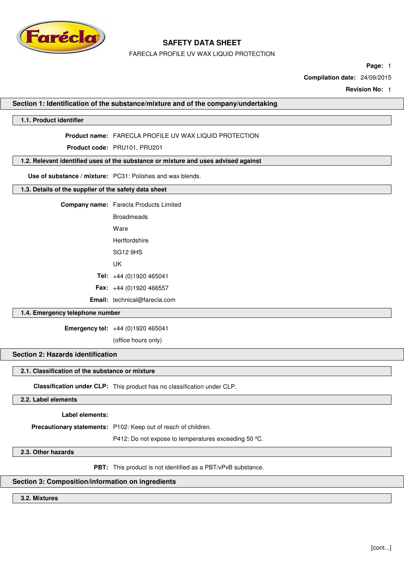

FARECLA PROFILE UV WAX LIQUID PROTECTION

**Page:** 1

**Compilation date:** 24/09/2015

**Revision No:** 1

## **Section 1: Identification of the substance/mixture and of the company/undertaking**

## **1.1. Product identifier**

### **Product name:** FARECLA PROFILE UV WAX LIQUID PROTECTION

**Product code:** PRU101, PRU201

## **1.2. Relevant identified uses of the substance or mixture and uses advised against**

**Use of substance / mixture:** PC31: Polishes and wax blends.

### **1.3. Details of the supplier of the safety data sheet**

| <b>Broadmeads</b>                   |
|-------------------------------------|
| Ware                                |
| Hertfordshire                       |
| SG <sub>12</sub> 9HS                |
| l IK                                |
| <b>Tel:</b> $+44(0)1920465041$      |
| <b>Fax:</b> $+44(0)1920466557$      |
| <b>Email:</b> technical@farecla.com |

## **1.4. Emergency telephone number**

**Emergency tel:** +44 (0)1920 465041

(office hours only)

# **Section 2: Hazards identification**

### **2.1. Classification of the substance or mixture**

**Classification under CLP:** This product has no classification under CLP.

## **2.2. Label elements**

**Label elements:**

**Precautionary statements:** P102: Keep out of reach of children.

P412: Do not expose to temperatures exceeding 50 ºC.

## **2.3. Other hazards**

**PBT:** This product is not identified as a PBT/vPvB substance.

## **Section 3: Composition/information on ingredients**

### **3.2. Mixtures**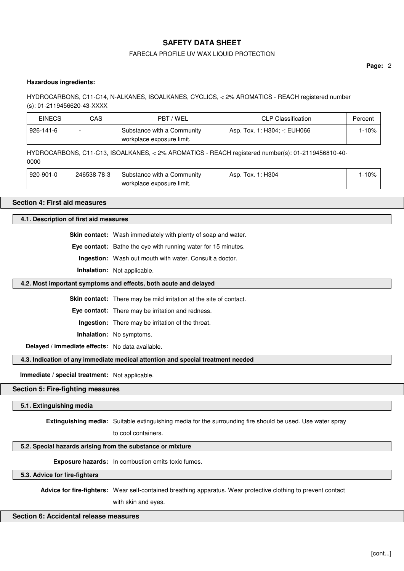## FARECLA PROFILE UV WAX LIQUID PROTECTION

**Page:** 2

### **Hazardous ingredients:**

## HYDROCARBONS, C11-C14, N-ALKANES, ISOALKANES, CYCLICS, < 2% AROMATICS - REACH registered number (s): 01-2119456620-43-XXXX

| <b>EINECS</b> | CAS | PBT / WEL                                               | <b>CLP Classification</b>    | Percent |
|---------------|-----|---------------------------------------------------------|------------------------------|---------|
| 926-141-6     |     | Substance with a Community<br>workplace exposure limit. | Asp. Tox. 1: H304; -: EUH066 | $-10%$  |

HYDROCARBONS, C11-C13, ISOALKANES, < 2% AROMATICS - REACH registered number(s): 01-2119456810-40- 0000

| 920-901-0 | 246538-78-3 | Substance with a Community | Tox. 1: H304<br>Asp. | $-10%$ |
|-----------|-------------|----------------------------|----------------------|--------|
|           |             | workplace exposure limit.  |                      |        |

### **Section 4: First aid measures**

## **4.1. Description of first aid measures**

**Skin contact:** Wash immediately with plenty of soap and water.

**Eye contact:** Bathe the eye with running water for 15 minutes.

**Ingestion:** Wash out mouth with water. Consult a doctor.

**Inhalation:** Not applicable.

### **4.2. Most important symptoms and effects, both acute and delayed**

**Skin contact:** There may be mild irritation at the site of contact.

**Eye contact:** There may be irritation and redness.

**Ingestion:** There may be irritation of the throat.

**Inhalation:** No symptoms.

**Delayed / immediate effects:** No data available.

## **4.3. Indication of any immediate medical attention and special treatment needed**

**Immediate / special treatment:** Not applicable.

### **Section 5: Fire-fighting measures**

### **5.1. Extinguishing media**

**Extinguishing media:** Suitable extinguishing media for the surrounding fire should be used. Use water spray

to cool containers.

## **5.2. Special hazards arising from the substance or mixture**

**Exposure hazards:** In combustion emits toxic fumes.

**5.3. Advice for fire-fighters**

**Advice for fire-fighters:** Wear self-contained breathing apparatus. Wear protective clothing to prevent contact

with skin and eyes.

## **Section 6: Accidental release measures**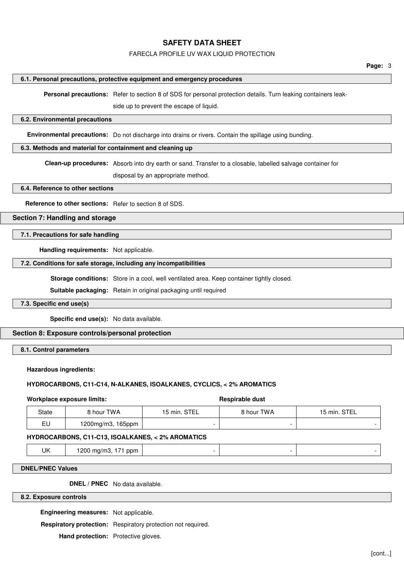## FARECLA PROFILE UV WAX LIQUID PROTECTION

### **6.1. Personal precautions, protective equipment and emergency procedures**

**Personal precautions:** Refer to section 8 of SDS for personal protection details. Turn leaking containers leak-

side up to prevent the escape of liquid.

### **6.2. Environmental precautions**

**Environmental precautions:** Do not discharge into drains or rivers. Contain the spillage using bunding.

### **6.3. Methods and material for containment and cleaning up**

**Clean-up procedures:** Absorb into dry earth or sand. Transfer to a closable, labelled salvage container for

disposal by an appropriate method.

### **6.4. Reference to other sections**

**Reference to other sections:** Refer to section 8 of SDS.

### **Section 7: Handling and storage**

### **7.1. Precautions for safe handling**

**Handling requirements:** Not applicable.

## **7.2. Conditions for safe storage, including any incompatibilities**

**Storage conditions:** Store in a cool, well ventilated area. Keep container tightly closed.

**Suitable packaging:** Retain in original packaging until required

## **7.3. Specific end use(s)**

**Specific end use(s):** No data available.

### **Section 8: Exposure controls/personal protection**

**8.1. Control parameters**

### **Hazardous ingredients:**

### **HYDROCARBONS, C11-C14, N-ALKANES, ISOALKANES, CYCLICS, < 2% AROMATICS**

### **Workplace exposure limits:**  $\qquad \qquad$  **Respirable dust**

| <b>State</b> | 8 hour TWA        | 15 min. STEL | 8 hour TWA | 15 min. STEL |
|--------------|-------------------|--------------|------------|--------------|
| EU           | 1200mg/m3, 165ppm |              |            |              |

## **HYDROCARBONS, C11-C13, ISOALKANES, < 2% AROMATICS**

UK 1200 mg/m3, 171 ppm - - -

## **DNEL/PNEC Values**

**DNEL / PNEC** No data available.

### **8.2. Exposure controls**

**Engineering measures:** Not applicable.

**Respiratory protection:** Respiratory protection not required.

**Hand protection:** Protective gloves.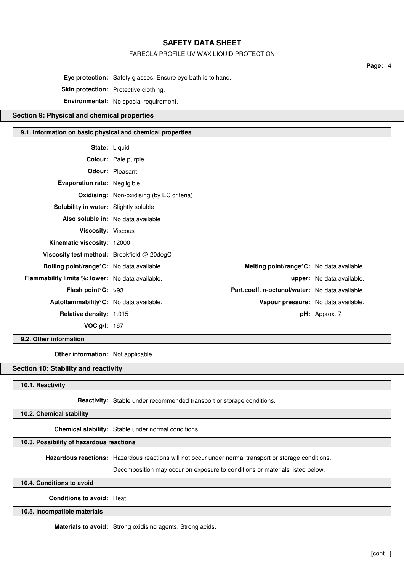### FARECLA PROFILE UV WAX LIQUID PROTECTION

**Eye protection:** Safety glasses. Ensure eye bath is to hand. **Skin protection:** Protective clothing. **Environmental:** No special requirement.

## **Section 9: Physical and chemical properties**

### **9.1. Information on basic physical and chemical properties**

| <b>State: Liquid</b>                                    |                                                  |                                                 |                                  |
|---------------------------------------------------------|--------------------------------------------------|-------------------------------------------------|----------------------------------|
|                                                         | Colour: Pale purple                              |                                                 |                                  |
|                                                         | <b>Odour:</b> Pleasant                           |                                                 |                                  |
| <b>Evaporation rate: Negligible</b>                     |                                                  |                                                 |                                  |
|                                                         | <b>Oxidising:</b> Non-oxidising (by EC criteria) |                                                 |                                  |
| Solubility in water: Slightly soluble                   |                                                  |                                                 |                                  |
|                                                         | Also soluble in: No data available               |                                                 |                                  |
| <b>Viscosity: Viscous</b>                               |                                                  |                                                 |                                  |
| Kinematic viscosity: 12000                              |                                                  |                                                 |                                  |
| Viscosity test method: Brookfield $@$ 20degC            |                                                  |                                                 |                                  |
| Boiling point/range°C: No data available.               |                                                  | Melting point/range°C: No data available.       |                                  |
| <b>Flammability limits %: lower:</b> No data available. |                                                  |                                                 | <b>upper:</b> No data available. |
| <b>Flash point C:</b> $>93$                             |                                                  | Part.coeff. n-octanol/water: No data available. |                                  |
| Autoflammability°C: No data available.                  |                                                  | Vapour pressure: No data available.             |                                  |
| Relative density: 1.015                                 |                                                  |                                                 | pH: Approx. 7                    |
| <b>VOC g/l: 167</b>                                     |                                                  |                                                 |                                  |

## **9.2. Other information**

**Other information:** Not applicable.

## **Section 10: Stability and reactivity**

## **10.1. Reactivity**

**Reactivity:** Stable under recommended transport or storage conditions.

## **10.2. Chemical stability**

**Chemical stability:** Stable under normal conditions.

## **10.3. Possibility of hazardous reactions**

**Hazardous reactions:** Hazardous reactions will not occur under normal transport or storage conditions.

Decomposition may occur on exposure to conditions or materials listed below.

### **10.4. Conditions to avoid**

**Conditions to avoid:** Heat.

**10.5. Incompatible materials**

**Materials to avoid:** Strong oxidising agents. Strong acids.

**Page:** 4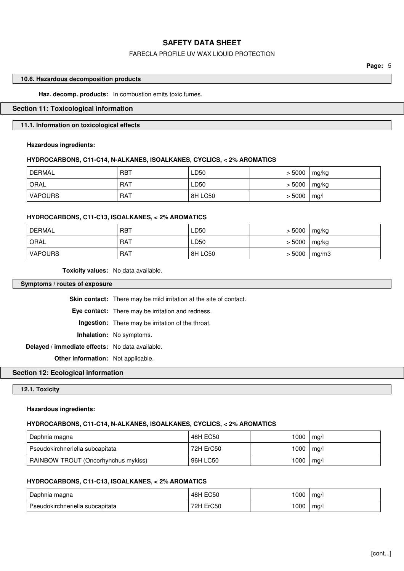## FARECLA PROFILE UV WAX LIQUID PROTECTION

**Page:** 5

### **10.6. Hazardous decomposition products**

**Haz. decomp. products:** In combustion emits toxic fumes.

### **Section 11: Toxicological information**

## **11.1. Information on toxicological effects**

## **Hazardous ingredients:**

### **HYDROCARBONS, C11-C14, N-ALKANES, ISOALKANES, CYCLICS, < 2% AROMATICS**

| DERMAL <sup>'</sup> | <b>RBT</b> | ∟D50    | > 5000 | mg/kg |
|---------------------|------------|---------|--------|-------|
| ORAL                | <b>RAT</b> | ∟D50    | > 5000 | mg/kg |
| <b>VAPOURS</b>      | <b>RAT</b> | 8H LC50 | > 5000 | mg/l  |

### **HYDROCARBONS, C11-C13, ISOALKANES, < 2% AROMATICS**

| <b>DERMAL</b>  | <b>RBT</b> | LD50    | > 5000 | mg/kg |
|----------------|------------|---------|--------|-------|
| ORAL           | <b>RAT</b> | LD50    | > 5000 | mg/kg |
| <b>VAPOURS</b> | <b>RAT</b> | 8H LC50 | > 5000 | mg/m3 |

**Toxicity values:** No data available.

**Symptoms / routes of exposure**

**Skin contact:** There may be mild irritation at the site of contact. **Eye contact:** There may be irritation and redness. **Ingestion:** There may be irritation of the throat. **Inhalation:** No symptoms. **Delayed / immediate effects:** No data available. **Other information:** Not applicable.

## **Section 12: Ecological information**

## **12.1. Toxicity**

### **Hazardous ingredients:**

### **HYDROCARBONS, C11-C14, N-ALKANES, ISOALKANES, CYCLICS, < 2% AROMATICS**

| Daphnia magna                       | 48H EC50  | 1000 | mg/l |
|-------------------------------------|-----------|------|------|
| Pseudokirchneriella subcapitata     | 72H ErC50 | 1000 | mq/l |
| RAINBOW TROUT (Oncorhynchus mykiss) | 96H LC50  | 1000 | mg/l |

## **HYDROCARBONS, C11-C13, ISOALKANES, < 2% AROMATICS**

| Daphnia magna                   | EC50<br>48H             | 000 | ma/ |
|---------------------------------|-------------------------|-----|-----|
| Pseudokirchneriella subcapitata | ErC <sub>50</sub><br>ுப | 000 | ma/ |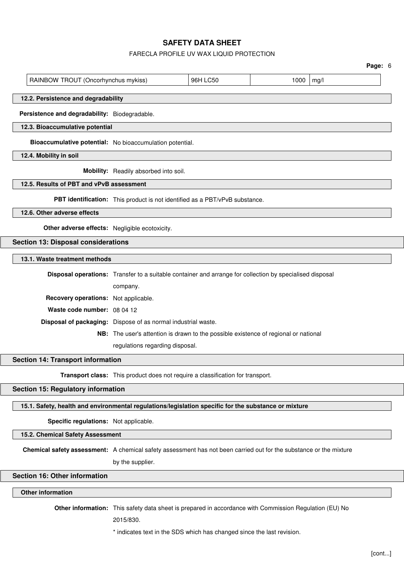### FARECLA PROFILE UV WAX LIQUID PROTECTION

|                                                                                                      |                                       |                                                                                                          |  |  | Page: 6 |  |
|------------------------------------------------------------------------------------------------------|---------------------------------------|----------------------------------------------------------------------------------------------------------|--|--|---------|--|
| RAINBOW TROUT (Oncorhynchus mykiss)                                                                  | 96H LC50<br>1000<br>mg/l              |                                                                                                          |  |  |         |  |
| 12.2. Persistence and degradability                                                                  |                                       |                                                                                                          |  |  |         |  |
| Persistence and degradability: Biodegradable.                                                        |                                       |                                                                                                          |  |  |         |  |
| 12.3. Bioaccumulative potential                                                                      |                                       |                                                                                                          |  |  |         |  |
| Bioaccumulative potential: No bioaccumulation potential.                                             |                                       |                                                                                                          |  |  |         |  |
| 12.4. Mobility in soil                                                                               |                                       |                                                                                                          |  |  |         |  |
|                                                                                                      | Mobility: Readily absorbed into soil. |                                                                                                          |  |  |         |  |
| 12.5. Results of PBT and vPvB assessment                                                             |                                       |                                                                                                          |  |  |         |  |
|                                                                                                      |                                       | PBT identification: This product is not identified as a PBT/vPvB substance.                              |  |  |         |  |
| 12.6. Other adverse effects                                                                          |                                       |                                                                                                          |  |  |         |  |
| Other adverse effects: Negligible ecotoxicity.                                                       |                                       |                                                                                                          |  |  |         |  |
| <b>Section 13: Disposal considerations</b>                                                           |                                       |                                                                                                          |  |  |         |  |
| 13.1. Waste treatment methods                                                                        |                                       |                                                                                                          |  |  |         |  |
|                                                                                                      |                                       | Disposal operations: Transfer to a suitable container and arrange for collection by specialised disposal |  |  |         |  |
|                                                                                                      | company.                              |                                                                                                          |  |  |         |  |
| Recovery operations: Not applicable.                                                                 |                                       |                                                                                                          |  |  |         |  |
| Waste code number: 08 04 12                                                                          |                                       |                                                                                                          |  |  |         |  |
| Disposal of packaging: Dispose of as normal industrial waste.                                        |                                       |                                                                                                          |  |  |         |  |
|                                                                                                      |                                       | NB: The user's attention is drawn to the possible existence of regional or national                      |  |  |         |  |
|                                                                                                      | regulations regarding disposal.       |                                                                                                          |  |  |         |  |
| <b>Section 14: Transport information</b>                                                             |                                       |                                                                                                          |  |  |         |  |
|                                                                                                      |                                       | Transport class: This product does not require a classification for transport.                           |  |  |         |  |
| <b>Section 15: Regulatory information</b>                                                            |                                       |                                                                                                          |  |  |         |  |
| 15.1. Safety, health and environmental regulations/legislation specific for the substance or mixture |                                       |                                                                                                          |  |  |         |  |

**Specific regulations:** Not applicable.

**15.2. Chemical Safety Assessment**

**Chemical safety assessment:** A chemical safety assessment has not been carried out for the substance or the mixture

by the supplier.

## **Section 16: Other information**

## **Other information**

**Other information:** This safety data sheet is prepared in accordance with Commission Regulation (EU) No

2015/830.

\* indicates text in the SDS which has changed since the last revision.